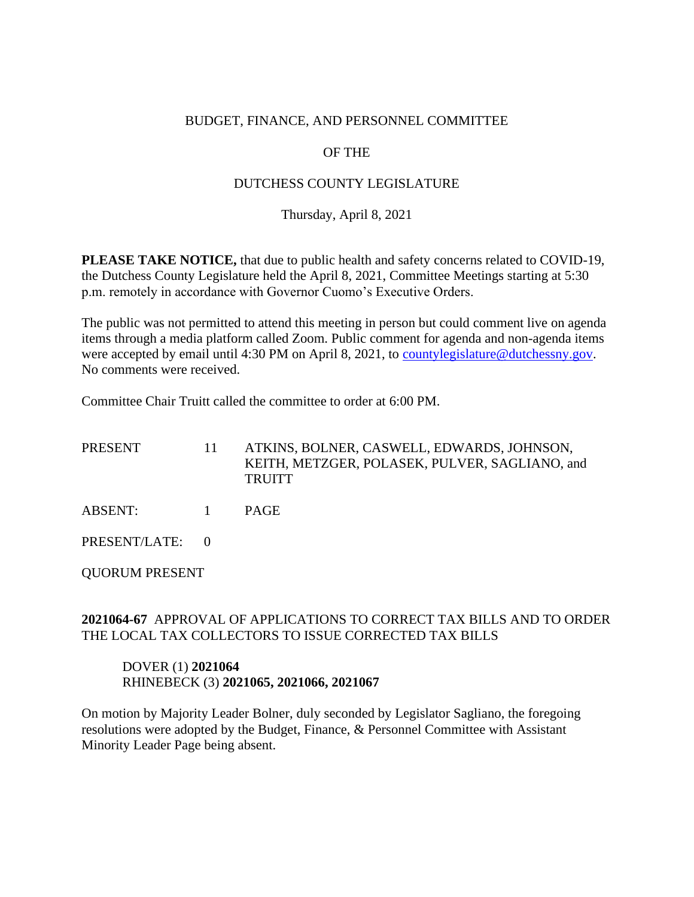#### BUDGET, FINANCE, AND PERSONNEL COMMITTEE

# OF THE

## DUTCHESS COUNTY LEGISLATURE

Thursday, April 8, 2021

**PLEASE TAKE NOTICE,** that due to public health and safety concerns related to COVID-19, the Dutchess County Legislature held the April 8, 2021, Committee Meetings starting at 5:30 p.m. remotely in accordance with Governor Cuomo's Executive Orders.

The public was not permitted to attend this meeting in person but could comment live on agenda items through a media platform called Zoom. Public comment for agenda and non-agenda items were accepted by email until 4:30 PM on April 8, 2021, to [countylegislature@dutchessny.gov.](mailto:countylegislature@dutchessny.gov) No comments were received.

Committee Chair Truitt called the committee to order at 6:00 PM.

PRESENT 11 ATKINS, BOLNER, CASWELL, EDWARDS, JOHNSON, KEITH, METZGER, POLASEK, PULVER, SAGLIANO, and **TRUITT** 

ABSENT: 1 PAGE

PRESENT/LATE: 0

QUORUM PRESENT

## **2021064-67** APPROVAL OF APPLICATIONS TO CORRECT TAX BILLS AND TO ORDER THE LOCAL TAX COLLECTORS TO ISSUE CORRECTED TAX BILLS

#### DOVER (1) **2021064** RHINEBECK (3) **2021065, 2021066, 2021067**

On motion by Majority Leader Bolner, duly seconded by Legislator Sagliano, the foregoing resolutions were adopted by the Budget, Finance, & Personnel Committee with Assistant Minority Leader Page being absent.